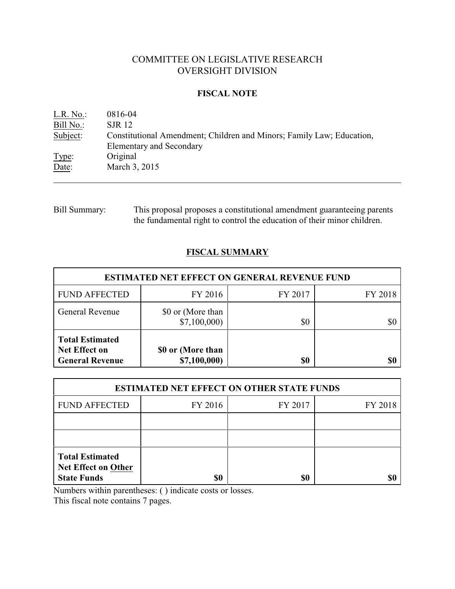# COMMITTEE ON LEGISLATIVE RESEARCH OVERSIGHT DIVISION

## **FISCAL NOTE**

| L.R. No.  | 0816-04                                                               |
|-----------|-----------------------------------------------------------------------|
| Bill No.: | <b>SJR 12</b>                                                         |
| Subject:  | Constitutional Amendment; Children and Minors; Family Law; Education, |
|           | <b>Elementary and Secondary</b>                                       |
| Type:     | Original                                                              |
| Date:     | March 3, 2015                                                         |

## Bill Summary: This proposal proposes a constitutional amendment guaranteeing parents the fundamental right to control the education of their minor children.

# **FISCAL SUMMARY**

| <b>ESTIMATED NET EFFECT ON GENERAL REVENUE FUND</b>               |                                   |         |         |  |
|-------------------------------------------------------------------|-----------------------------------|---------|---------|--|
| <b>FUND AFFECTED</b>                                              | FY 2016                           | FY 2017 | FY 2018 |  |
| <b>General Revenue</b>                                            | \$0 or (More than<br>\$7,100,000  | \$0     |         |  |
| <b>Total Estimated</b><br>Net Effect on<br><b>General Revenue</b> | \$0 or (More than<br>\$7,100,000) | \$0     |         |  |

| <b>ESTIMATED NET EFFECT ON OTHER STATE FUNDS</b>                           |         |         |         |  |
|----------------------------------------------------------------------------|---------|---------|---------|--|
| <b>FUND AFFECTED</b>                                                       | FY 2016 | FY 2017 | FY 2018 |  |
|                                                                            |         |         |         |  |
|                                                                            |         |         |         |  |
| <b>Total Estimated</b><br><b>Net Effect on Other</b><br><b>State Funds</b> | \$0     | \$0     |         |  |

Numbers within parentheses: ( ) indicate costs or losses.

This fiscal note contains 7 pages.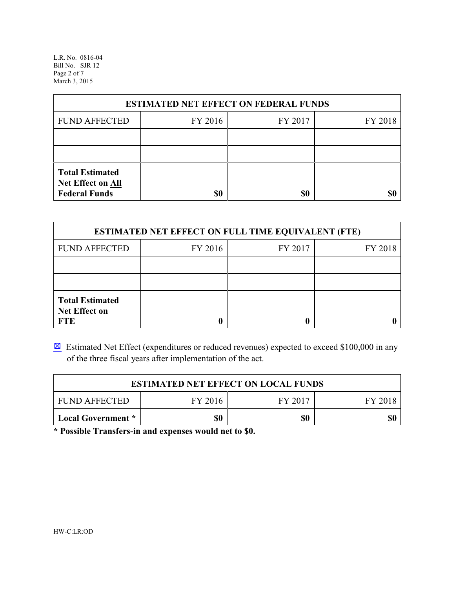L.R. No. 0816-04 Bill No. SJR 12 Page 2 of 7 March 3, 2015

| <b>ESTIMATED NET EFFECT ON FEDERAL FUNDS</b>                        |         |         |         |  |
|---------------------------------------------------------------------|---------|---------|---------|--|
| <b>FUND AFFECTED</b>                                                | FY 2016 | FY 2017 | FY 2018 |  |
|                                                                     |         |         |         |  |
|                                                                     |         |         |         |  |
| <b>Total Estimated</b><br>Net Effect on All<br><b>Federal Funds</b> | \$0     | \$0     |         |  |

| <b>ESTIMATED NET EFFECT ON FULL TIME EQUIVALENT (FTE)</b>    |         |         |         |  |
|--------------------------------------------------------------|---------|---------|---------|--|
| <b>FUND AFFECTED</b>                                         | FY 2016 | FY 2017 | FY 2018 |  |
|                                                              |         |         |         |  |
|                                                              |         |         |         |  |
| <b>Total Estimated</b><br><b>Net Effect on</b><br><b>FTE</b> |         |         |         |  |

 $\boxtimes$  Estimated Net Effect (expenditures or reduced revenues) expected to exceed \$100,000 in any of the three fiscal years after implementation of the act.

| <b>ESTIMATED NET EFFECT ON LOCAL FUNDS</b> |         |         |         |  |
|--------------------------------------------|---------|---------|---------|--|
| <b>FUND AFFECTED</b>                       | FY 2016 | FY 2017 | FY 2018 |  |
| Local Government *                         | \$0     | \$0     |         |  |

**\* Possible Transfers-in and expenses would net to \$0.**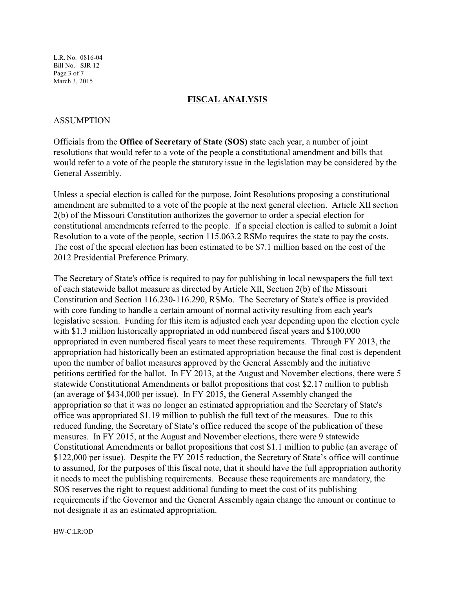L.R. No. 0816-04 Bill No. SJR 12 Page 3 of 7 March 3, 2015

### **FISCAL ANALYSIS**

### ASSUMPTION

Officials from the **Office of Secretary of State (SOS)** state each year, a number of joint resolutions that would refer to a vote of the people a constitutional amendment and bills that would refer to a vote of the people the statutory issue in the legislation may be considered by the General Assembly.

Unless a special election is called for the purpose, Joint Resolutions proposing a constitutional amendment are submitted to a vote of the people at the next general election. Article XII section 2(b) of the Missouri Constitution authorizes the governor to order a special election for constitutional amendments referred to the people. If a special election is called to submit a Joint Resolution to a vote of the people, section 115.063.2 RSMo requires the state to pay the costs. The cost of the special election has been estimated to be \$7.1 million based on the cost of the 2012 Presidential Preference Primary.

The Secretary of State's office is required to pay for publishing in local newspapers the full text of each statewide ballot measure as directed by Article XII, Section 2(b) of the Missouri Constitution and Section 116.230-116.290, RSMo. The Secretary of State's office is provided with core funding to handle a certain amount of normal activity resulting from each year's legislative session. Funding for this item is adjusted each year depending upon the election cycle with \$1.3 million historically appropriated in odd numbered fiscal years and \$100,000 appropriated in even numbered fiscal years to meet these requirements. Through FY 2013, the appropriation had historically been an estimated appropriation because the final cost is dependent upon the number of ballot measures approved by the General Assembly and the initiative petitions certified for the ballot. In FY 2013, at the August and November elections, there were 5 statewide Constitutional Amendments or ballot propositions that cost \$2.17 million to publish (an average of \$434,000 per issue). In FY 2015, the General Assembly changed the appropriation so that it was no longer an estimated appropriation and the Secretary of State's office was appropriated \$1.19 million to publish the full text of the measures. Due to this reduced funding, the Secretary of State's office reduced the scope of the publication of these measures. In FY 2015, at the August and November elections, there were 9 statewide Constitutional Amendments or ballot propositions that cost \$1.1 million to public (an average of \$122,000 per issue). Despite the FY 2015 reduction, the Secretary of State's office will continue to assumed, for the purposes of this fiscal note, that it should have the full appropriation authority it needs to meet the publishing requirements. Because these requirements are mandatory, the SOS reserves the right to request additional funding to meet the cost of its publishing requirements if the Governor and the General Assembly again change the amount or continue to not designate it as an estimated appropriation.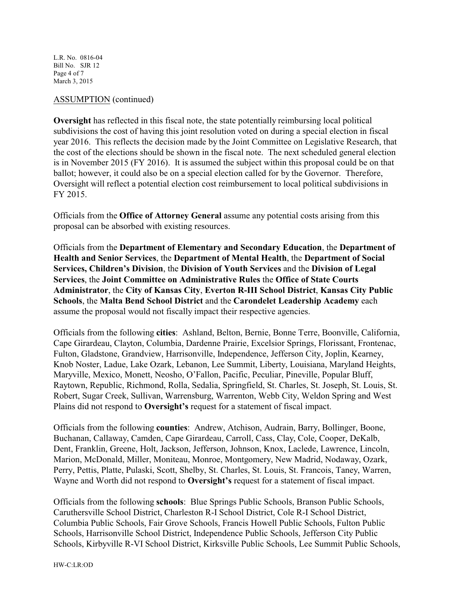L.R. No. 0816-04 Bill No. SJR 12 Page 4 of 7 March 3, 2015

### ASSUMPTION (continued)

**Oversight** has reflected in this fiscal note, the state potentially reimbursing local political subdivisions the cost of having this joint resolution voted on during a special election in fiscal year 2016. This reflects the decision made by the Joint Committee on Legislative Research, that the cost of the elections should be shown in the fiscal note. The next scheduled general election is in November 2015 (FY 2016). It is assumed the subject within this proposal could be on that ballot; however, it could also be on a special election called for by the Governor. Therefore, Oversight will reflect a potential election cost reimbursement to local political subdivisions in FY 2015.

Officials from the **Office of Attorney General** assume any potential costs arising from this proposal can be absorbed with existing resources.

Officials from the **Department of Elementary and Secondary Education**, the **Department of Health and Senior Services**, the **Department of Mental Health**, the **Department of Social Services, Children's Division**, the **Division of Youth Services** and the **Division of Legal Services**, the **Joint Committee on Administrative Rules** the **Office of State Courts Administrator**, the **City of Kansas City**, **Everton R-III School District**, **Kansas City Public Schools**, the **Malta Bend School District** and the **Carondelet Leadership Academy** each assume the proposal would not fiscally impact their respective agencies.

Officials from the following **cities**: Ashland, Belton, Bernie, Bonne Terre, Boonville, California, Cape Girardeau, Clayton, Columbia, Dardenne Prairie, Excelsior Springs, Florissant, Frontenac, Fulton, Gladstone, Grandview, Harrisonville, Independence, Jefferson City, Joplin, Kearney, Knob Noster, Ladue, Lake Ozark, Lebanon, Lee Summit, Liberty, Louisiana, Maryland Heights, Maryville, Mexico, Monett, Neosho, O'Fallon, Pacific, Peculiar, Pineville, Popular Bluff, Raytown, Republic, Richmond, Rolla, Sedalia, Springfield, St. Charles, St. Joseph, St. Louis, St. Robert, Sugar Creek, Sullivan, Warrensburg, Warrenton, Webb City, Weldon Spring and West Plains did not respond to **Oversight's** request for a statement of fiscal impact.

Officials from the following **counties**: Andrew, Atchison, Audrain, Barry, Bollinger, Boone, Buchanan, Callaway, Camden, Cape Girardeau, Carroll, Cass, Clay, Cole, Cooper, DeKalb, Dent, Franklin, Greene, Holt, Jackson, Jefferson, Johnson, Knox, Laclede, Lawrence, Lincoln, Marion, McDonald, Miller, Moniteau, Monroe, Montgomery, New Madrid, Nodaway, Ozark, Perry, Pettis, Platte, Pulaski, Scott, Shelby, St. Charles, St. Louis, St. Francois, Taney, Warren, Wayne and Worth did not respond to **Oversight's** request for a statement of fiscal impact.

Officials from the following **schools**: Blue Springs Public Schools, Branson Public Schools, Caruthersville School District, Charleston R-I School District, Cole R-I School District, Columbia Public Schools, Fair Grove Schools, Francis Howell Public Schools, Fulton Public Schools, Harrisonville School District, Independence Public Schools, Jefferson City Public Schools, Kirbyville R-VI School District, Kirksville Public Schools, Lee Summit Public Schools,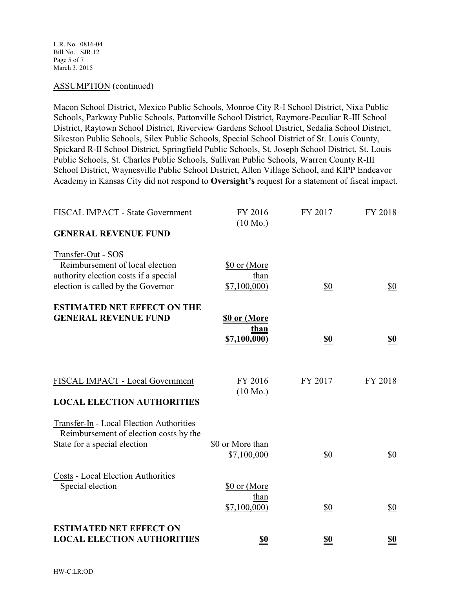L.R. No. 0816-04 Bill No. SJR 12 Page 5 of 7 March 3, 2015

## ASSUMPTION (continued)

Macon School District, Mexico Public Schools, Monroe City R-I School District, Nixa Public Schools, Parkway Public Schools, Pattonville School District, Raymore-Peculiar R-III School District, Raytown School District, Riverview Gardens School District, Sedalia School District, Sikeston Public Schools, Silex Public Schools, Special School District of St. Louis County, Spickard R-II School District, Springfield Public Schools, St. Joseph School District, St. Louis Public Schools, St. Charles Public Schools, Sullivan Public Schools, Warren County R-III School District, Waynesville Public School District, Allen Village School, and KIPP Endeavor Academy in Kansas City did not respond to **Oversight's** request for a statement of fiscal impact.

| FISCAL IMPACT - State Government                                                                                                     | FY 2016<br>$(10 \text{ Mo.})$       | FY 2017    | FY 2018    |
|--------------------------------------------------------------------------------------------------------------------------------------|-------------------------------------|------------|------------|
| <b>GENERAL REVENUE FUND</b>                                                                                                          |                                     |            |            |
| Transfer-Out - SOS<br>Reimbursement of local election<br>authority election costs if a special<br>election is called by the Governor | \$0 or (More<br>than<br>\$7,100,000 | \$0        | \$0        |
| <b>ESTIMATED NET EFFECT ON THE</b><br><b>GENERAL REVENUE FUND</b>                                                                    | \$0 or (More                        |            |            |
|                                                                                                                                      | than<br><u>\$7,100,000)</u>         | <u>\$0</u> | <u>\$0</u> |
| FISCAL IMPACT - Local Government<br><b>LOCAL ELECTION AUTHORITIES</b>                                                                | FY 2016<br>$(10 \text{ Mo.})$       | FY 2017    | FY 2018    |
| Transfer-In - Local Election Authorities<br>Reimbursement of election costs by the<br>State for a special election                   | \$0 or More than<br>\$7,100,000     | \$0        | \$0        |
| <b>Costs - Local Election Authorities</b><br>Special election                                                                        | \$0 or (More<br>than<br>\$7,100,000 | \$0        | \$0        |
| <b>ESTIMATED NET EFFECT ON</b><br><b>LOCAL ELECTION AUTHORITIES</b>                                                                  | \$0                                 | \$0        | \$0        |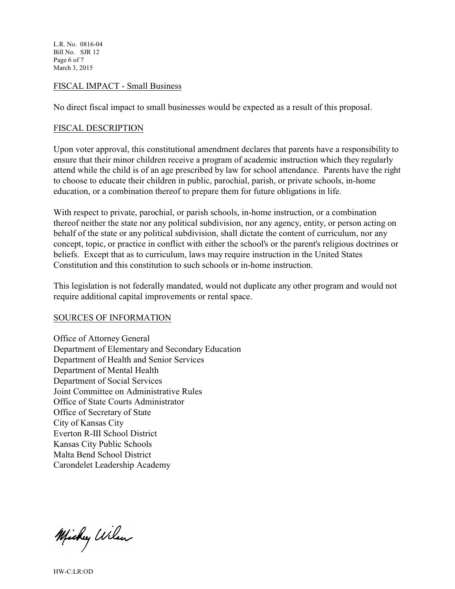L.R. No. 0816-04 Bill No. SJR 12 Page 6 of 7 March 3, 2015

### FISCAL IMPACT - Small Business

No direct fiscal impact to small businesses would be expected as a result of this proposal.

### FISCAL DESCRIPTION

Upon voter approval, this constitutional amendment declares that parents have a responsibility to ensure that their minor children receive a program of academic instruction which they regularly attend while the child is of an age prescribed by law for school attendance. Parents have the right to choose to educate their children in public, parochial, parish, or private schools, in-home education, or a combination thereof to prepare them for future obligations in life.

With respect to private, parochial, or parish schools, in-home instruction, or a combination thereof neither the state nor any political subdivision, nor any agency, entity, or person acting on behalf of the state or any political subdivision, shall dictate the content of curriculum, nor any concept, topic, or practice in conflict with either the school's or the parent's religious doctrines or beliefs. Except that as to curriculum, laws may require instruction in the United States Constitution and this constitution to such schools or in-home instruction.

This legislation is not federally mandated, would not duplicate any other program and would not require additional capital improvements or rental space.

#### SOURCES OF INFORMATION

Office of Attorney General Department of Elementary and Secondary Education Department of Health and Senior Services Department of Mental Health Department of Social Services Joint Committee on Administrative Rules Office of State Courts Administrator Office of Secretary of State City of Kansas City Everton R-III School District Kansas City Public Schools Malta Bend School District Carondelet Leadership Academy

Michy Wilson

HW-C:LR:OD